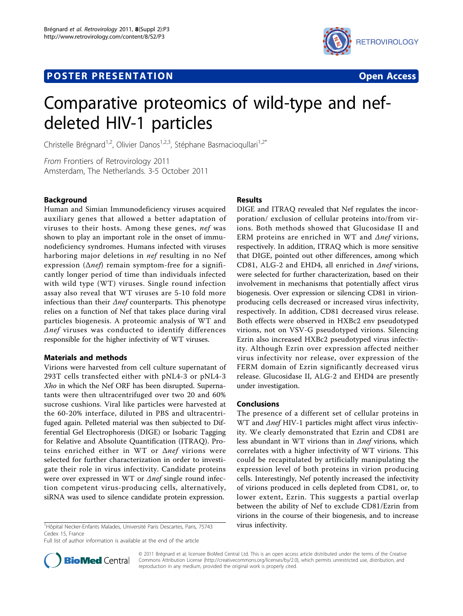# **POSTER PRESENTATION CONSUMING THE SERVICE SERVICE SERVICES**



# Comparative proteomics of wild-type and nefdeleted HIV-1 particles

Christelle Brégnard<sup>1,2</sup>, Olivier Danos<sup>1,2,3</sup>, Stéphane Basmacioqullari<sup>1,2\*</sup>

From Frontiers of Retrovirology 2011 Amsterdam, The Netherlands. 3-5 October 2011

## Background

Human and Simian Immunodeficiency viruses acquired auxiliary genes that allowed a better adaptation of viruses to their hosts. Among these genes, nef was shown to play an important role in the onset of immunodeficiency syndromes. Humans infected with viruses harboring major deletions in nef resulting in no Nef expression ( $\Delta$ nef) remain symptom-free for a significantly longer period of time than individuals infected with wild type (WT) viruses. Single round infection assay also reveal that WT viruses are 5-10 fold more infectious than their  $\Delta$ nef counterparts. This phenotype relies on a function of Nef that takes place during viral particles biogenesis. A proteomic analysis of WT and  $\Delta$ nef viruses was conducted to identify differences responsible for the higher infectivity of WT viruses.

## Materials and methods

Virions were harvested from cell culture supernatant of 293T cells transfected either with pNL4-3 or pNL4-3 Xho in which the Nef ORF has been disrupted. Supernatants were then ultracentrifuged over two 20 and 60% sucrose cushions. Viral like particles were harvested at the 60-20% interface, diluted in PBS and ultracentrifuged again. Pelleted material was then subjected to Differential Gel Electrophoresis (DIGE) or Isobaric Tagging for Relative and Absolute Quantification (ITRAQ). Proteins enriched either in WT or  $\Delta$ nef virions were selected for further characterization in order to investigate their role in virus infectivity. Candidate proteins were over expressed in WT or Δnef single round infection competent virus-producing cells, alternatively, siRNA was used to silence candidate protein expression.

<sup>1</sup>Hôpital Necker-Enfants Malades, Université Paris Descartes, Paris, 75743 virus infectivity. Cedex 15, France

Full list of author information is available at the end of the article

# Results

DIGE and ITRAQ revealed that Nef regulates the incorporation/ exclusion of cellular proteins into/from virions. Both methods showed that Glucosidase II and ERM proteins are enriched in WT and  $\Delta$ nef virions, respectively. In addition, ITRAQ which is more sensitive that DIGE, pointed out other differences, among which CD81, ALG-2 and EHD4, all enriched in Δnef virions, were selected for further characterization, based on their involvement in mechanisms that potentially affect virus biogenesis. Over expression or silencing CD81 in virionproducing cells decreased or increased virus infectivity, respectively. In addition, CD81 decreased virus release. Both effects were observed in HXBc2 env pseudotyped virions, not on VSV-G pseudotyped virions. Silencing Ezrin also increased HXBc2 pseudotyped virus infectivity. Although Ezrin over expression affected neither virus infectivity nor release, over expression of the FERM domain of Ezrin significantly decreased virus release. Glucosidase II, ALG-2 and EHD4 are presently under investigation.

#### Conclusions

The presence of a different set of cellular proteins in WT and Δnef HIV-1 particles might affect virus infectivity. We clearly demonstrated that Ezrin and CD81 are less abundant in WT virions than in  $\Delta$ nef virions, which correlates with a higher infectivity of WT virions. This could be recapitulated by artificially manipulating the expression level of both proteins in virion producing cells. Interestingly, Nef potently increased the infectivity of virions produced in cells depleted from CD81, or, to lower extent, Ezrin. This suggests a partial overlap between the ability of Nef to exclude CD81/Ezrin from virions in the course of their biogenesis, and to increase



© 2011 Brégnard et al; licensee BioMed Central Ltd. This is an open access article distributed under the terms of the Creative Commons Attribution License [\(http://creativecommons.org/licenses/by/2.0](http://creativecommons.org/licenses/by/2.0)), which permits unrestricted use, distribution, and reproduction in any medium, provided the original work is properly cited.